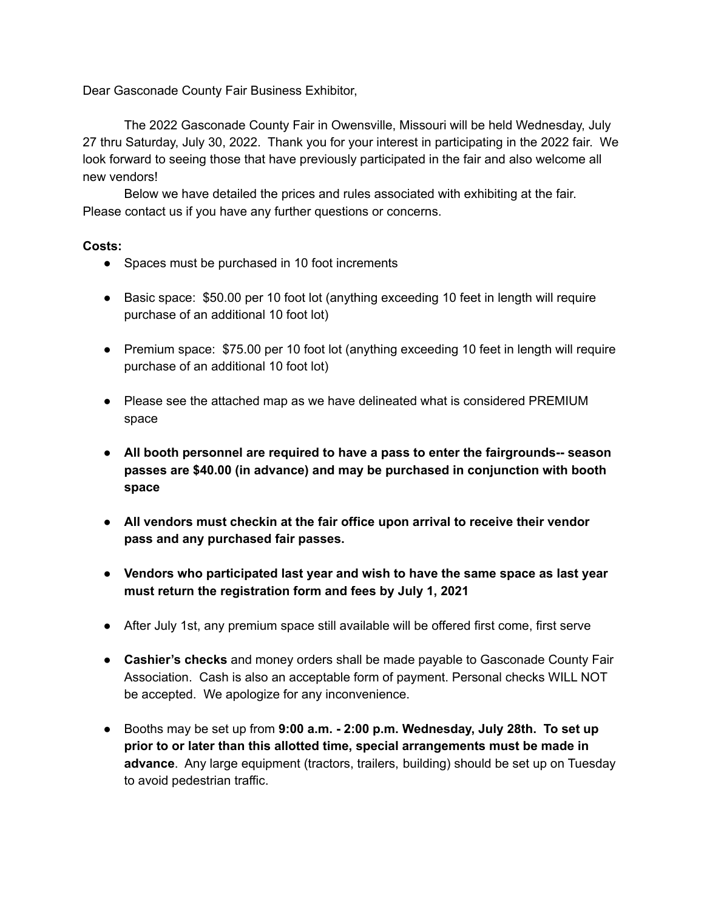Dear Gasconade County Fair Business Exhibitor,

The 2022 Gasconade County Fair in Owensville, Missouri will be held Wednesday, July 27 thru Saturday, July 30, 2022. Thank you for your interest in participating in the 2022 fair. We look forward to seeing those that have previously participated in the fair and also welcome all new vendors!

Below we have detailed the prices and rules associated with exhibiting at the fair. Please contact us if you have any further questions or concerns.

## **Costs:**

- Spaces must be purchased in 10 foot increments
- Basic space: \$50.00 per 10 foot lot (anything exceeding 10 feet in length will require purchase of an additional 10 foot lot)
- Premium space: \$75.00 per 10 foot lot (anything exceeding 10 feet in length will require purchase of an additional 10 foot lot)
- Please see the attached map as we have delineated what is considered PREMIUM space
- **● All booth personnel are required to have a pass to enter the fairgrounds-- season passes are \$40.00 (in advance) and may be purchased in conjunction with booth space**
- **● All vendors must checkin at the fair office upon arrival to receive their vendor pass and any purchased fair passes.**
- **● Vendors who participated last year and wish to have the same space as last year must return the registration form and fees by July 1, 2021**
- After July 1st, any premium space still available will be offered first come, first serve
- **Cashier's checks** and money orders shall be made payable to Gasconade County Fair Association. Cash is also an acceptable form of payment. Personal checks WILL NOT be accepted. We apologize for any inconvenience.
- Booths may be set up from **9:00 a.m. - 2:00 p.m. Wednesday, July 28th. To set up prior to or later than this allotted time, special arrangements must be made in advance**. Any large equipment (tractors, trailers, building) should be set up on Tuesday to avoid pedestrian traffic.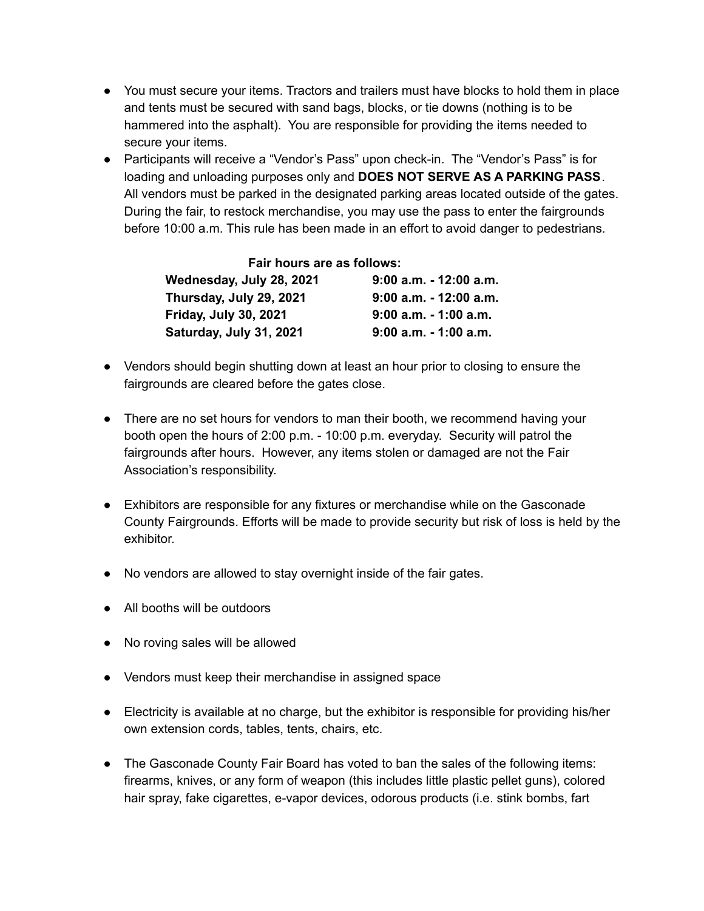- You must secure your items. Tractors and trailers must have blocks to hold them in place and tents must be secured with sand bags, blocks, or tie downs (nothing is to be hammered into the asphalt). You are responsible for providing the items needed to secure your items.
- Participants will receive a "Vendor's Pass" upon check-in. The "Vendor's Pass" is for loading and unloading purposes only and **DOES NOT SERVE AS A PARKING PASS**. All vendors must be parked in the designated parking areas located outside of the gates. During the fair, to restock merchandise, you may use the pass to enter the fairgrounds before 10:00 a.m. This rule has been made in an effort to avoid danger to pedestrians.

| Fair hours are as follows:   |                           |
|------------------------------|---------------------------|
| Wednesday, July 28, 2021     | $9:00$ a.m. $-12:00$ a.m. |
| Thursday, July 29, 2021      | $9:00$ a.m. $-12:00$ a.m. |
| <b>Friday, July 30, 2021</b> | 9:00 a.m. - 1:00 a.m.     |
| Saturday, July 31, 2021      | $9:00$ a.m. $-1:00$ a.m.  |

- Vendors should begin shutting down at least an hour prior to closing to ensure the fairgrounds are cleared before the gates close.
- There are no set hours for vendors to man their booth, we recommend having your booth open the hours of 2:00 p.m. - 10:00 p.m. everyday. Security will patrol the fairgrounds after hours. However, any items stolen or damaged are not the Fair Association's responsibility.
- Exhibitors are responsible for any fixtures or merchandise while on the Gasconade County Fairgrounds. Efforts will be made to provide security but risk of loss is held by the exhibitor.
- No vendors are allowed to stay overnight inside of the fair gates.
- All booths will be outdoors
- No roving sales will be allowed
- Vendors must keep their merchandise in assigned space
- Electricity is available at no charge, but the exhibitor is responsible for providing his/her own extension cords, tables, tents, chairs, etc.
- The Gasconade County Fair Board has voted to ban the sales of the following items: firearms, knives, or any form of weapon (this includes little plastic pellet guns), colored hair spray, fake cigarettes, e-vapor devices, odorous products (i.e. stink bombs, fart